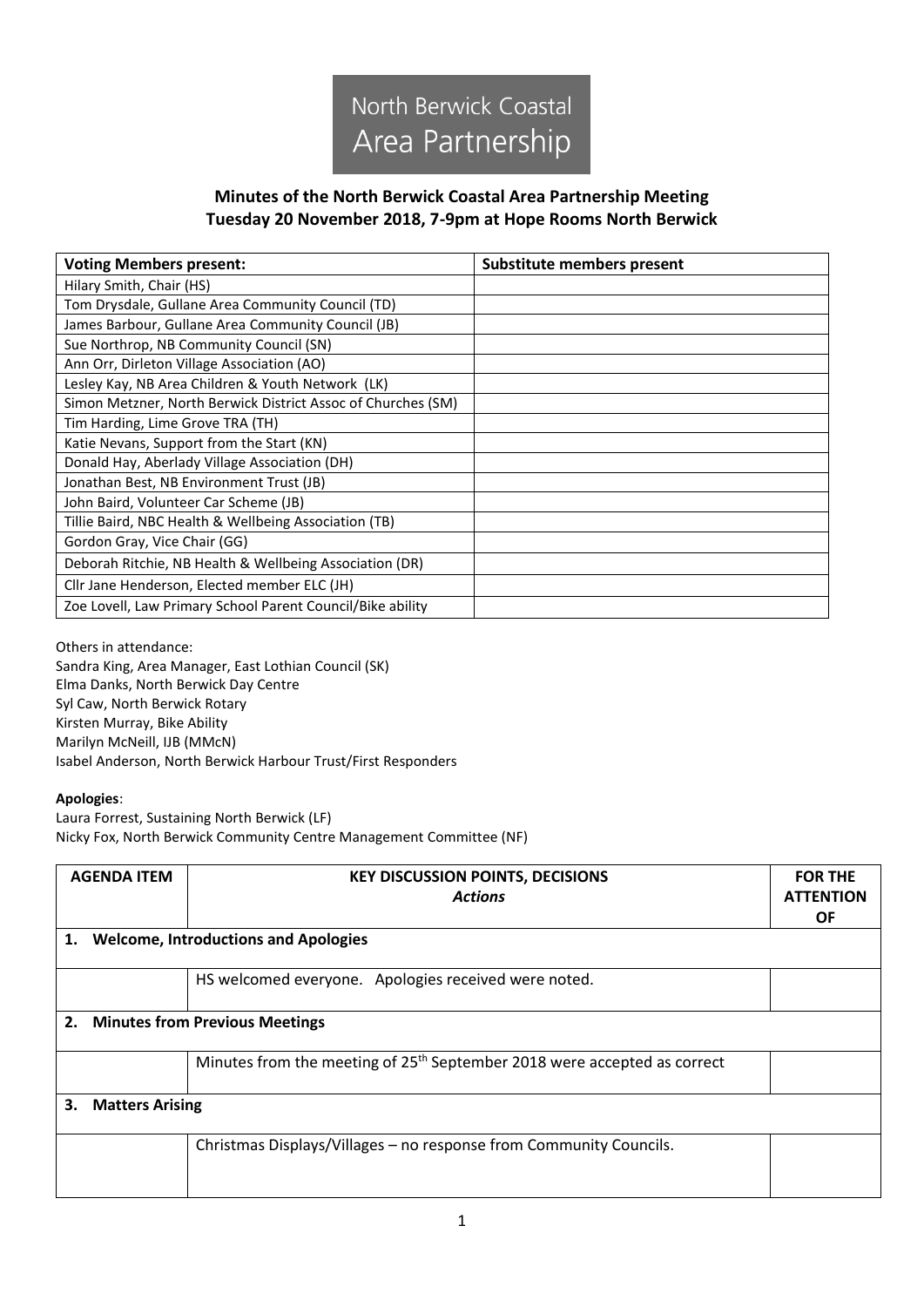

## **Minutes of the North Berwick Coastal Area Partnership Meeting Tuesday 20 November 2018, 7-9pm at Hope Rooms North Berwick**

| <b>Voting Members present:</b>                               | Substitute members present |
|--------------------------------------------------------------|----------------------------|
| Hilary Smith, Chair (HS)                                     |                            |
| Tom Drysdale, Gullane Area Community Council (TD)            |                            |
| James Barbour, Gullane Area Community Council (JB)           |                            |
| Sue Northrop, NB Community Council (SN)                      |                            |
| Ann Orr, Dirleton Village Association (AO)                   |                            |
| Lesley Kay, NB Area Children & Youth Network (LK)            |                            |
| Simon Metzner, North Berwick District Assoc of Churches (SM) |                            |
| Tim Harding, Lime Grove TRA (TH)                             |                            |
| Katie Nevans, Support from the Start (KN)                    |                            |
| Donald Hay, Aberlady Village Association (DH)                |                            |
| Jonathan Best, NB Environment Trust (JB)                     |                            |
| John Baird, Volunteer Car Scheme (JB)                        |                            |
| Tillie Baird, NBC Health & Wellbeing Association (TB)        |                            |
| Gordon Gray, Vice Chair (GG)                                 |                            |
| Deborah Ritchie, NB Health & Wellbeing Association (DR)      |                            |
| Cllr Jane Henderson, Elected member ELC (JH)                 |                            |
| Zoe Lovell, Law Primary School Parent Council/Bike ability   |                            |

## Others in attendance:

Sandra King, Area Manager, East Lothian Council (SK) Elma Danks, North Berwick Day Centre Syl Caw, North Berwick Rotary Kirsten Murray, Bike Ability Marilyn McNeill, IJB (MMcN) Isabel Anderson, North Berwick Harbour Trust/First Responders

## **Apologies**:

Laura Forrest, Sustaining North Berwick (LF) Nicky Fox, North Berwick Community Centre Management Committee (NF)

|    | <b>AGENDA ITEM</b>                          | <b>KEY DISCUSSION POINTS, DECISIONS</b><br><b>Actions</b>                            | <b>FOR THE</b><br><b>ATTENTION</b><br><b>OF</b> |
|----|---------------------------------------------|--------------------------------------------------------------------------------------|-------------------------------------------------|
| 1. | <b>Welcome, Introductions and Apologies</b> |                                                                                      |                                                 |
|    |                                             | HS welcomed everyone. Apologies received were noted.                                 |                                                 |
|    | 2.<br><b>Minutes from Previous Meetings</b> |                                                                                      |                                                 |
|    |                                             | Minutes from the meeting of 25 <sup>th</sup> September 2018 were accepted as correct |                                                 |
| З. | <b>Matters Arising</b>                      |                                                                                      |                                                 |
|    |                                             | Christmas Displays/Villages - no response from Community Councils.                   |                                                 |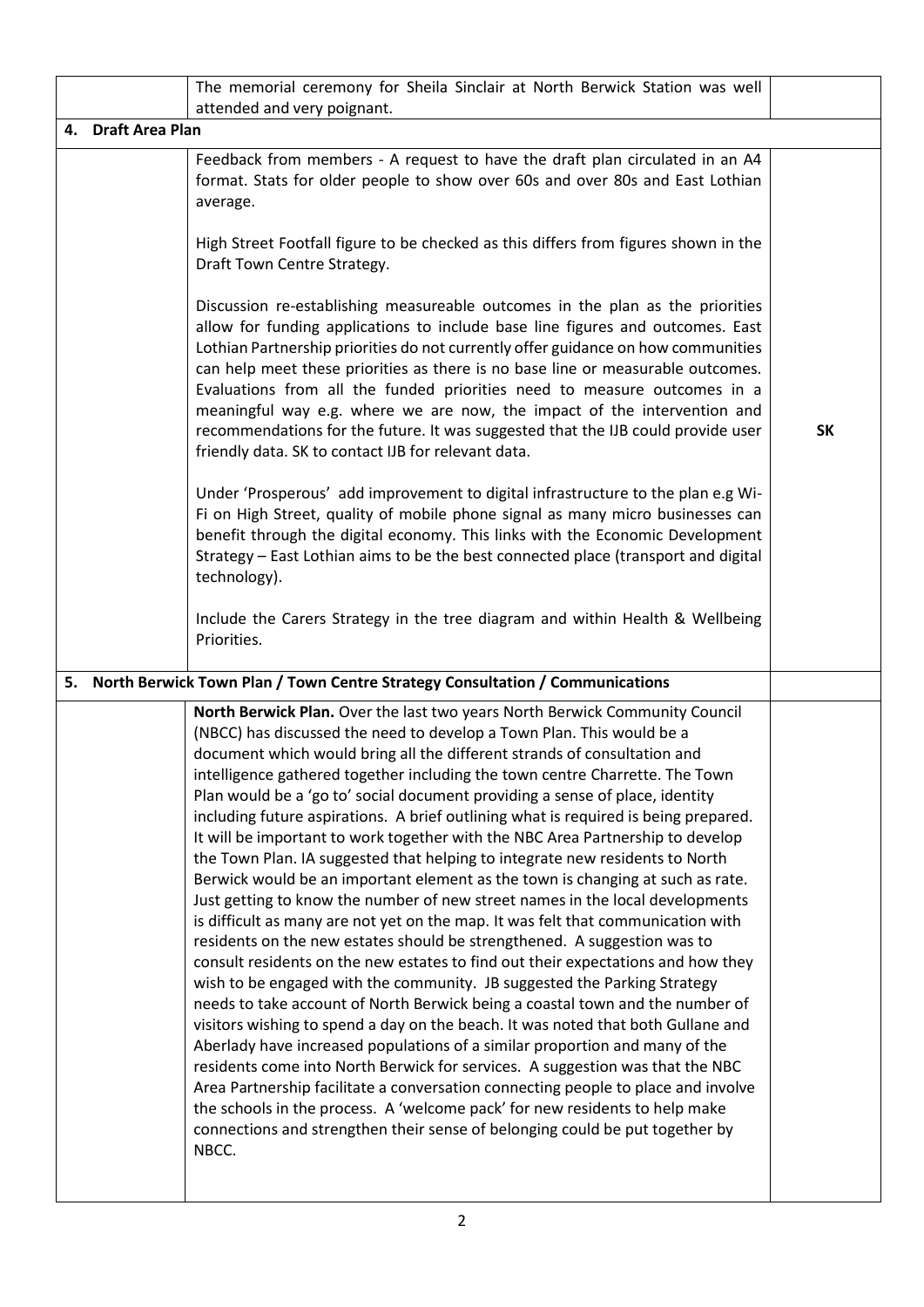|                    | The memorial ceremony for Sheila Sinclair at North Berwick Station was well<br>attended and very poignant.                                                                                                                                                                                                                                                                                                                                                                                                                                                                                                                                                                                                                                                                                                                                                                                                                                                                                                                                                                                                                                                                                                                                                                                                                                                                                                                                                                                                                                                                                                                                                                                                                                                     |           |
|--------------------|----------------------------------------------------------------------------------------------------------------------------------------------------------------------------------------------------------------------------------------------------------------------------------------------------------------------------------------------------------------------------------------------------------------------------------------------------------------------------------------------------------------------------------------------------------------------------------------------------------------------------------------------------------------------------------------------------------------------------------------------------------------------------------------------------------------------------------------------------------------------------------------------------------------------------------------------------------------------------------------------------------------------------------------------------------------------------------------------------------------------------------------------------------------------------------------------------------------------------------------------------------------------------------------------------------------------------------------------------------------------------------------------------------------------------------------------------------------------------------------------------------------------------------------------------------------------------------------------------------------------------------------------------------------------------------------------------------------------------------------------------------------|-----------|
| 4. Draft Area Plan |                                                                                                                                                                                                                                                                                                                                                                                                                                                                                                                                                                                                                                                                                                                                                                                                                                                                                                                                                                                                                                                                                                                                                                                                                                                                                                                                                                                                                                                                                                                                                                                                                                                                                                                                                                |           |
|                    | Feedback from members - A request to have the draft plan circulated in an A4<br>format. Stats for older people to show over 60s and over 80s and East Lothian<br>average.<br>High Street Footfall figure to be checked as this differs from figures shown in the                                                                                                                                                                                                                                                                                                                                                                                                                                                                                                                                                                                                                                                                                                                                                                                                                                                                                                                                                                                                                                                                                                                                                                                                                                                                                                                                                                                                                                                                                               |           |
|                    | Draft Town Centre Strategy.<br>Discussion re-establishing measureable outcomes in the plan as the priorities<br>allow for funding applications to include base line figures and outcomes. East<br>Lothian Partnership priorities do not currently offer guidance on how communities<br>can help meet these priorities as there is no base line or measurable outcomes.<br>Evaluations from all the funded priorities need to measure outcomes in a<br>meaningful way e.g. where we are now, the impact of the intervention and<br>recommendations for the future. It was suggested that the IJB could provide user<br>friendly data. SK to contact IJB for relevant data.                                                                                                                                                                                                                                                                                                                                                                                                                                                                                                                                                                                                                                                                                                                                                                                                                                                                                                                                                                                                                                                                                      | <b>SK</b> |
|                    | Under 'Prosperous' add improvement to digital infrastructure to the plan e.g Wi-<br>Fi on High Street, quality of mobile phone signal as many micro businesses can<br>benefit through the digital economy. This links with the Economic Development<br>Strategy - East Lothian aims to be the best connected place (transport and digital<br>technology).<br>Include the Carers Strategy in the tree diagram and within Health & Wellbeing<br>Priorities.                                                                                                                                                                                                                                                                                                                                                                                                                                                                                                                                                                                                                                                                                                                                                                                                                                                                                                                                                                                                                                                                                                                                                                                                                                                                                                      |           |
| 5.                 | North Berwick Town Plan / Town Centre Strategy Consultation / Communications                                                                                                                                                                                                                                                                                                                                                                                                                                                                                                                                                                                                                                                                                                                                                                                                                                                                                                                                                                                                                                                                                                                                                                                                                                                                                                                                                                                                                                                                                                                                                                                                                                                                                   |           |
|                    | North Berwick Plan. Over the last two years North Berwick Community Council<br>(NBCC) has discussed the need to develop a Town Plan. This would be a<br>document which would bring all the different strands of consultation and<br>intelligence gathered together including the town centre Charrette. The Town<br>Plan would be a 'go to' social document providing a sense of place, identity<br>including future aspirations. A brief outlining what is required is being prepared.<br>It will be important to work together with the NBC Area Partnership to develop<br>the Town Plan. IA suggested that helping to integrate new residents to North<br>Berwick would be an important element as the town is changing at such as rate.<br>Just getting to know the number of new street names in the local developments<br>is difficult as many are not yet on the map. It was felt that communication with<br>residents on the new estates should be strengthened. A suggestion was to<br>consult residents on the new estates to find out their expectations and how they<br>wish to be engaged with the community. JB suggested the Parking Strategy<br>needs to take account of North Berwick being a coastal town and the number of<br>visitors wishing to spend a day on the beach. It was noted that both Gullane and<br>Aberlady have increased populations of a similar proportion and many of the<br>residents come into North Berwick for services. A suggestion was that the NBC<br>Area Partnership facilitate a conversation connecting people to place and involve<br>the schools in the process. A 'welcome pack' for new residents to help make<br>connections and strengthen their sense of belonging could be put together by<br>NBCC. |           |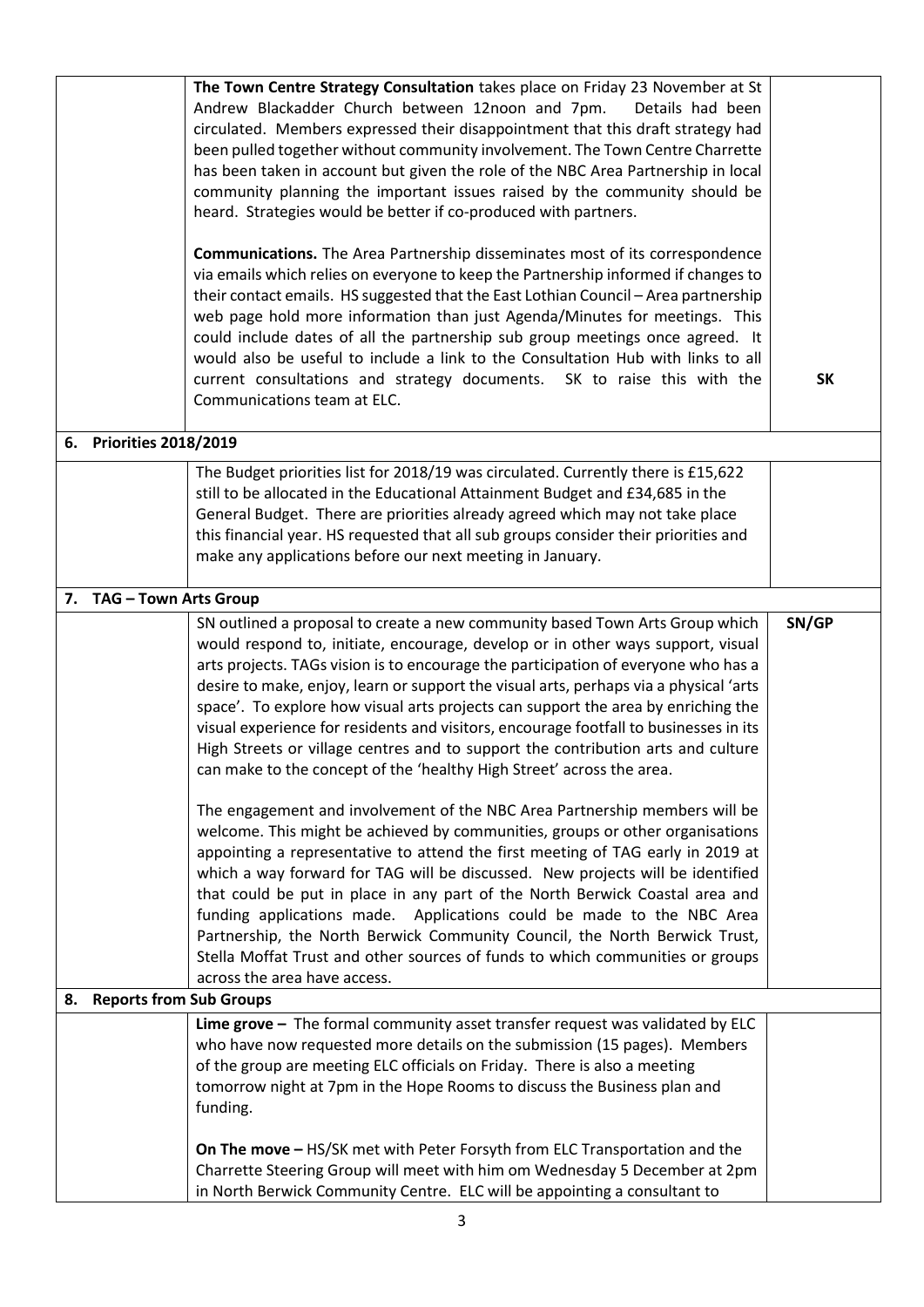|                            | The Town Centre Strategy Consultation takes place on Friday 23 November at St<br>Andrew Blackadder Church between 12noon and 7pm.<br>Details had been<br>circulated. Members expressed their disappointment that this draft strategy had<br>been pulled together without community involvement. The Town Centre Charrette<br>has been taken in account but given the role of the NBC Area Partnership in local<br>community planning the important issues raised by the community should be<br>heard. Strategies would be better if co-produced with partners.<br><b>Communications.</b> The Area Partnership disseminates most of its correspondence<br>via emails which relies on everyone to keep the Partnership informed if changes to<br>their contact emails. HS suggested that the East Lothian Council - Area partnership<br>web page hold more information than just Agenda/Minutes for meetings. This<br>could include dates of all the partnership sub group meetings once agreed. It<br>would also be useful to include a link to the Consultation Hub with links to all<br>current consultations and strategy documents. SK to raise this with the<br>Communications team at ELC.                                                                                                                                                                                       | <b>SK</b> |
|----------------------------|---------------------------------------------------------------------------------------------------------------------------------------------------------------------------------------------------------------------------------------------------------------------------------------------------------------------------------------------------------------------------------------------------------------------------------------------------------------------------------------------------------------------------------------------------------------------------------------------------------------------------------------------------------------------------------------------------------------------------------------------------------------------------------------------------------------------------------------------------------------------------------------------------------------------------------------------------------------------------------------------------------------------------------------------------------------------------------------------------------------------------------------------------------------------------------------------------------------------------------------------------------------------------------------------------------------------------------------------------------------------------------------|-----------|
| 6. Priorities 2018/2019    |                                                                                                                                                                                                                                                                                                                                                                                                                                                                                                                                                                                                                                                                                                                                                                                                                                                                                                                                                                                                                                                                                                                                                                                                                                                                                                                                                                                       |           |
|                            | The Budget priorities list for 2018/19 was circulated. Currently there is £15,622<br>still to be allocated in the Educational Attainment Budget and £34,685 in the<br>General Budget. There are priorities already agreed which may not take place<br>this financial year. HS requested that all sub groups consider their priorities and<br>make any applications before our next meeting in January.                                                                                                                                                                                                                                                                                                                                                                                                                                                                                                                                                                                                                                                                                                                                                                                                                                                                                                                                                                                |           |
| 7. TAG - Town Arts Group   |                                                                                                                                                                                                                                                                                                                                                                                                                                                                                                                                                                                                                                                                                                                                                                                                                                                                                                                                                                                                                                                                                                                                                                                                                                                                                                                                                                                       |           |
|                            | SN outlined a proposal to create a new community based Town Arts Group which<br>would respond to, initiate, encourage, develop or in other ways support, visual<br>arts projects. TAGs vision is to encourage the participation of everyone who has a<br>desire to make, enjoy, learn or support the visual arts, perhaps via a physical 'arts<br>space'. To explore how visual arts projects can support the area by enriching the<br>visual experience for residents and visitors, encourage footfall to businesses in its<br>High Streets or village centres and to support the contribution arts and culture<br>can make to the concept of the 'healthy High Street' across the area.<br>The engagement and involvement of the NBC Area Partnership members will be<br>welcome. This might be achieved by communities, groups or other organisations<br>appointing a representative to attend the first meeting of TAG early in 2019 at<br>which a way forward for TAG will be discussed. New projects will be identified<br>that could be put in place in any part of the North Berwick Coastal area and<br>funding applications made. Applications could be made to the NBC Area<br>Partnership, the North Berwick Community Council, the North Berwick Trust,<br>Stella Moffat Trust and other sources of funds to which communities or groups<br>across the area have access. | SN/GP     |
| 8. Reports from Sub Groups |                                                                                                                                                                                                                                                                                                                                                                                                                                                                                                                                                                                                                                                                                                                                                                                                                                                                                                                                                                                                                                                                                                                                                                                                                                                                                                                                                                                       |           |
|                            | Lime grove - The formal community asset transfer request was validated by ELC<br>who have now requested more details on the submission (15 pages). Members<br>of the group are meeting ELC officials on Friday. There is also a meeting<br>tomorrow night at 7pm in the Hope Rooms to discuss the Business plan and<br>funding.<br>On The move - HS/SK met with Peter Forsyth from ELC Transportation and the                                                                                                                                                                                                                                                                                                                                                                                                                                                                                                                                                                                                                                                                                                                                                                                                                                                                                                                                                                         |           |
|                            | Charrette Steering Group will meet with him om Wednesday 5 December at 2pm<br>in North Berwick Community Centre. ELC will be appointing a consultant to                                                                                                                                                                                                                                                                                                                                                                                                                                                                                                                                                                                                                                                                                                                                                                                                                                                                                                                                                                                                                                                                                                                                                                                                                               |           |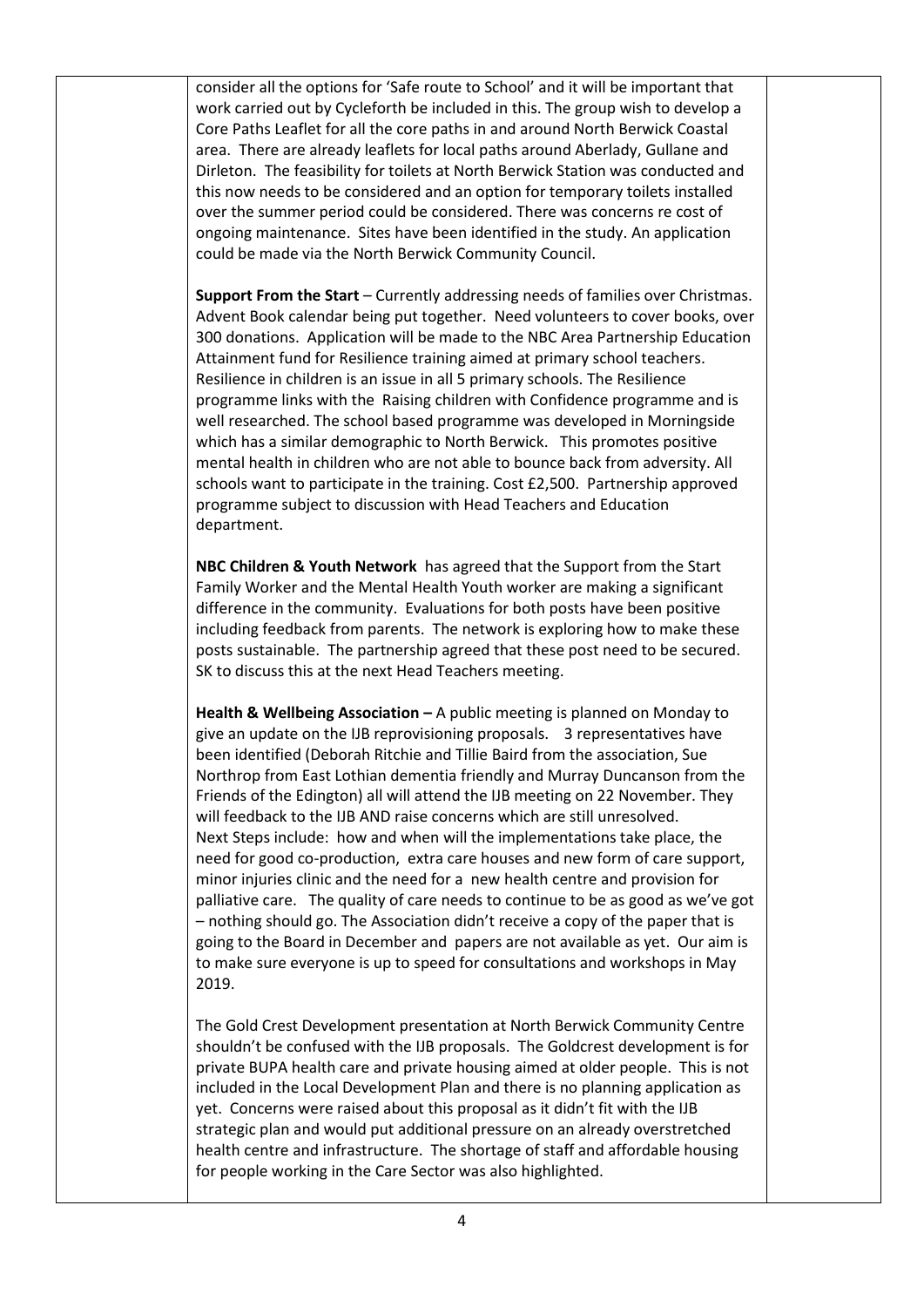consider all the options for 'Safe route to School' and it will be important that work carried out by Cycleforth be included in this. The group wish to develop a Core Paths Leaflet for all the core paths in and around North Berwick Coastal area. There are already leaflets for local paths around Aberlady, Gullane and Dirleton. The feasibility for toilets at North Berwick Station was conducted and this now needs to be considered and an option for temporary toilets installed over the summer period could be considered. There was concerns re cost of ongoing maintenance. Sites have been identified in the study. An application could be made via the North Berwick Community Council.

**Support From the Start** – Currently addressing needs of families over Christmas. Advent Book calendar being put together. Need volunteers to cover books, over 300 donations. Application will be made to the NBC Area Partnership Education Attainment fund for Resilience training aimed at primary school teachers. Resilience in children is an issue in all 5 primary schools. The Resilience programme links with the Raising children with Confidence programme and is well researched. The school based programme was developed in Morningside which has a similar demographic to North Berwick. This promotes positive mental health in children who are not able to bounce back from adversity. All schools want to participate in the training. Cost £2,500. Partnership approved programme subject to discussion with Head Teachers and Education department.

**NBC Children & Youth Network** has agreed that the Support from the Start Family Worker and the Mental Health Youth worker are making a significant difference in the community. Evaluations for both posts have been positive including feedback from parents. The network is exploring how to make these posts sustainable. The partnership agreed that these post need to be secured. SK to discuss this at the next Head Teachers meeting.

**Health & Wellbeing Association –** A public meeting is planned on Monday to give an update on the IJB reprovisioning proposals. 3 representatives have been identified (Deborah Ritchie and Tillie Baird from the association, Sue Northrop from East Lothian dementia friendly and Murray Duncanson from the Friends of the Edington) all will attend the IJB meeting on 22 November. They will feedback to the IJB AND raise concerns which are still unresolved. Next Steps include: how and when will the implementations take place, the need for good co-production, extra care houses and new form of care support, minor injuries clinic and the need for a new health centre and provision for palliative care. The quality of care needs to continue to be as good as we've got – nothing should go. The Association didn't receive a copy of the paper that is going to the Board in December and papers are not available as yet. Our aim is to make sure everyone is up to speed for consultations and workshops in May 2019.

The Gold Crest Development presentation at North Berwick Community Centre shouldn't be confused with the IJB proposals. The Goldcrest development is for private BUPA health care and private housing aimed at older people. This is not included in the Local Development Plan and there is no planning application as yet. Concerns were raised about this proposal as it didn't fit with the IJB strategic plan and would put additional pressure on an already overstretched health centre and infrastructure. The shortage of staff and affordable housing for people working in the Care Sector was also highlighted.